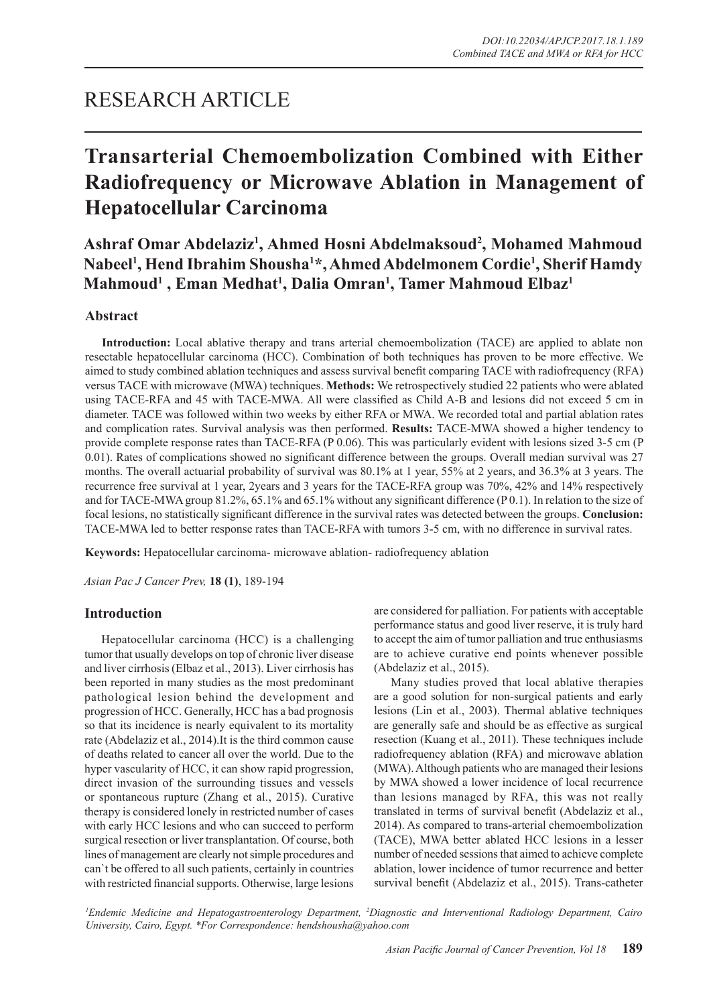## RESEARCH ARTICLE

# **Transarterial Chemoembolization Combined with Either Radiofrequency or Microwave Ablation in Management of Hepatocellular Carcinoma**

## **Ashraf Omar Abdelaziz1 , Ahmed Hosni Abdelmaksoud2 , Mohamed Mahmoud Nabeel1 , Hend Ibrahim Shousha1 \*, Ahmed Abdelmonem Cordie1 , Sherif Hamdy Mahmoud1 , Eman Medhat1 , Dalia Omran1 , Tamer Mahmoud Elbaz1**

## **Abstract**

**Introduction:** Local ablative therapy and trans arterial chemoembolization (TACE) are applied to ablate non resectable hepatocellular carcinoma (HCC). Combination of both techniques has proven to be more effective. We aimed to study combined ablation techniques and assess survival benefit comparing TACE with radiofrequency (RFA) versus TACE with microwave (MWA) techniques. **Methods:** We retrospectively studied 22 patients who were ablated using TACE-RFA and 45 with TACE-MWA. All were classified as Child A-B and lesions did not exceed 5 cm in diameter. TACE was followed within two weeks by either RFA or MWA. We recorded total and partial ablation rates and complication rates. Survival analysis was then performed. **Results:** TACE-MWA showed a higher tendency to provide complete response rates than TACE-RFA (P 0.06). This was particularly evident with lesions sized 3-5 cm (P 0.01). Rates of complications showed no significant difference between the groups. Overall median survival was 27 months. The overall actuarial probability of survival was 80.1% at 1 year, 55% at 2 years, and 36.3% at 3 years. The recurrence free survival at 1 year, 2years and 3 years for the TACE-RFA group was 70%, 42% and 14% respectively and for TACE-MWA group 81.2%, 65.1% and 65.1% without any significant difference (P 0.1). In relation to the size of focal lesions, no statistically significant difference in the survival rates was detected between the groups. **Conclusion:**  TACE-MWA led to better response rates than TACE-RFA with tumors 3-5 cm, with no difference in survival rates.

**Keywords:** Hepatocellular carcinoma- microwave ablation- radiofrequency ablation

*Asian Pac J Cancer Prev,* **18 (1)**, 189-194

## **Introduction**

Hepatocellular carcinoma (HCC) is a challenging tumor that usually develops on top of chronic liver disease and liver cirrhosis (Elbaz et al., 2013). Liver cirrhosis has been reported in many studies as the most predominant pathological lesion behind the development and progression of HCC. Generally, HCC has a bad prognosis so that its incidence is nearly equivalent to its mortality rate (Abdelaziz et al., 2014).It is the third common cause of deaths related to cancer all over the world. Due to the hyper vascularity of HCC, it can show rapid progression, direct invasion of the surrounding tissues and vessels or spontaneous rupture (Zhang et al., 2015). Curative therapy is considered lonely in restricted number of cases with early HCC lesions and who can succeed to perform surgical resection or liver transplantation. Of course, both lines of management are clearly not simple procedures and can`t be offered to all such patients, certainly in countries with restricted financial supports. Otherwise, large lesions

are considered for palliation. For patients with acceptable performance status and good liver reserve, it is truly hard to accept the aim of tumor palliation and true enthusiasms are to achieve curative end points whenever possible (Abdelaziz et al., 2015).

Many studies proved that local ablative therapies are a good solution for non-surgical patients and early lesions (Lin et al., 2003). Thermal ablative techniques are generally safe and should be as effective as surgical resection (Kuang et al., 2011). These techniques include radiofrequency ablation (RFA) and microwave ablation (MWA). Although patients who are managed their lesions by MWA showed a lower incidence of local recurrence than lesions managed by RFA, this was not really translated in terms of survival benefit (Abdelaziz et al., 2014). As compared to trans-arterial chemoembolization (TACE), MWA better ablated HCC lesions in a lesser number of needed sessions that aimed to achieve complete ablation, lower incidence of tumor recurrence and better survival benefit (Abdelaziz et al., 2015). Trans-catheter

*1 Endemic Medicine and Hepatogastroenterology Department, 2 Diagnostic and Interventional Radiology Department, Cairo University, Cairo, Egypt. \*For Correspondence: hendshousha@yahoo.com*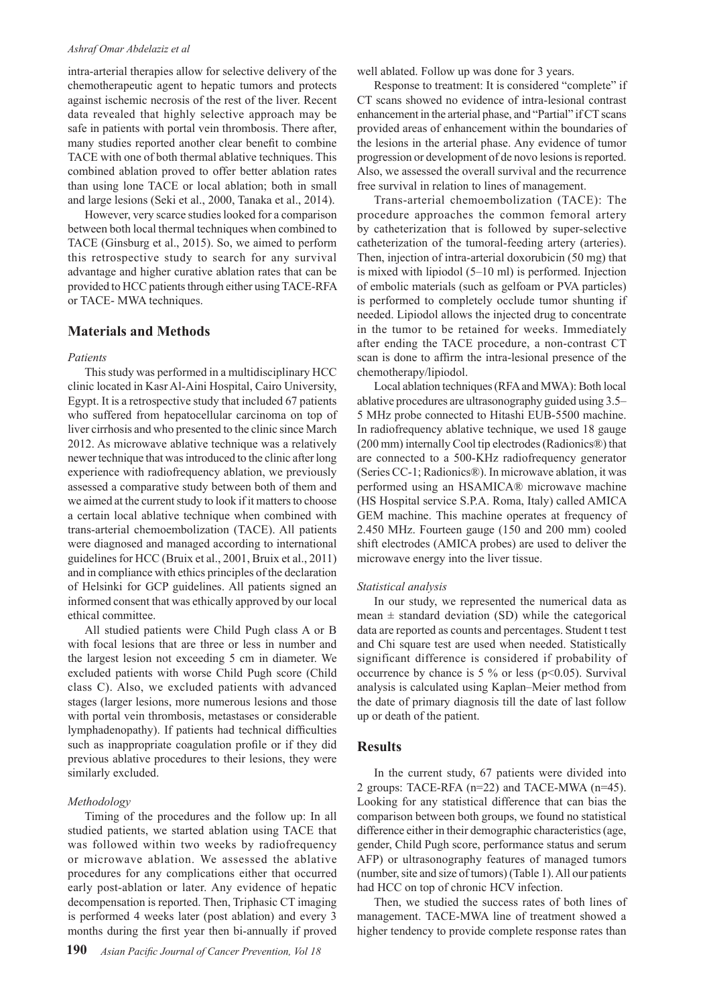#### *Ashraf Omar Abdelaziz et al*

intra-arterial therapies allow for selective delivery of the chemotherapeutic agent to hepatic tumors and protects against ischemic necrosis of the rest of the liver. Recent data revealed that highly selective approach may be safe in patients with portal vein thrombosis. There after, many studies reported another clear benefit to combine TACE with one of both thermal ablative techniques. This combined ablation proved to offer better ablation rates than using lone TACE or local ablation; both in small and large lesions (Seki et al., 2000, Tanaka et al., 2014).

However, very scarce studies looked for a comparison between both local thermal techniques when combined to TACE (Ginsburg et al., 2015). So, we aimed to perform this retrospective study to search for any survival advantage and higher curative ablation rates that can be provided to HCC patients through either using TACE-RFA or TACE- MWA techniques.

#### **Materials and Methods**

#### *Patients*

This study was performed in a multidisciplinary HCC clinic located in Kasr Al-Aini Hospital, Cairo University, Egypt. It is a retrospective study that included 67 patients who suffered from hepatocellular carcinoma on top of liver cirrhosis and who presented to the clinic since March 2012. As microwave ablative technique was a relatively newer technique that was introduced to the clinic after long experience with radiofrequency ablation, we previously assessed a comparative study between both of them and we aimed at the current study to look if it matters to choose a certain local ablative technique when combined with trans-arterial chemoembolization (TACE). All patients were diagnosed and managed according to international guidelines for HCC (Bruix et al., 2001, Bruix et al., 2011) and in compliance with ethics principles of the declaration of Helsinki for GCP guidelines. All patients signed an informed consent that was ethically approved by our local ethical committee.

All studied patients were Child Pugh class A or B with focal lesions that are three or less in number and the largest lesion not exceeding 5 cm in diameter. We excluded patients with worse Child Pugh score (Child class C). Also, we excluded patients with advanced stages (larger lesions, more numerous lesions and those with portal vein thrombosis, metastases or considerable lymphadenopathy). If patients had technical difficulties such as inappropriate coagulation profile or if they did previous ablative procedures to their lesions, they were similarly excluded.

#### *Methodology*

Timing of the procedures and the follow up: In all studied patients, we started ablation using TACE that was followed within two weeks by radiofrequency or microwave ablation. We assessed the ablative procedures for any complications either that occurred early post-ablation or later. Any evidence of hepatic decompensation is reported. Then, Triphasic CT imaging is performed 4 weeks later (post ablation) and every 3 months during the first year then bi-annually if proved

well ablated. Follow up was done for 3 years.

Response to treatment: It is considered "complete" if CT scans showed no evidence of intra-lesional contrast enhancement in the arterial phase, and "Partial" if CT scans provided areas of enhancement within the boundaries of the lesions in the arterial phase. Any evidence of tumor progression or development of de novo lesions is reported. Also, we assessed the overall survival and the recurrence free survival in relation to lines of management.

Trans-arterial chemoembolization (TACE): The procedure approaches the common femoral artery by catheterization that is followed by super-selective catheterization of the tumoral-feeding artery (arteries). Then, injection of intra-arterial doxorubicin (50 mg) that is mixed with lipiodol (5–10 ml) is performed. Injection of embolic materials (such as gelfoam or PVA particles) is performed to completely occlude tumor shunting if needed. Lipiodol allows the injected drug to concentrate in the tumor to be retained for weeks. Immediately after ending the TACE procedure, a non-contrast CT scan is done to affirm the intra-lesional presence of the chemotherapy/lipiodol.

Local ablation techniques (RFA and MWA): Both local ablative procedures are ultrasonography guided using 3.5– 5 MHz probe connected to Hitashi EUB-5500 machine. In radiofrequency ablative technique, we used 18 gauge (200 mm) internally Cool tip electrodes (Radionics®) that are connected to a 500-KHz radiofrequency generator (Series CC-1; Radionics®). In microwave ablation, it was performed using an HSAMICA® microwave machine (HS Hospital service S.P.A. Roma, Italy) called AMICA GEM machine. This machine operates at frequency of 2.450 MHz. Fourteen gauge (150 and 200 mm) cooled shift electrodes (AMICA probes) are used to deliver the microwave energy into the liver tissue.

#### *Statistical analysis*

In our study, we represented the numerical data as mean  $\pm$  standard deviation (SD) while the categorical data are reported as counts and percentages. Student t test and Chi square test are used when needed. Statistically significant difference is considered if probability of occurrence by chance is  $5\%$  or less (p<0.05). Survival analysis is calculated using Kaplan–Meier method from the date of primary diagnosis till the date of last follow up or death of the patient.

#### **Results**

In the current study, 67 patients were divided into 2 groups: TACE-RFA (n=22) and TACE-MWA (n=45). Looking for any statistical difference that can bias the comparison between both groups, we found no statistical difference either in their demographic characteristics (age, gender, Child Pugh score, performance status and serum AFP) or ultrasonography features of managed tumors (number, site and size of tumors) (Table 1). All our patients had HCC on top of chronic HCV infection.

Then, we studied the success rates of both lines of management. TACE-MWA line of treatment showed a higher tendency to provide complete response rates than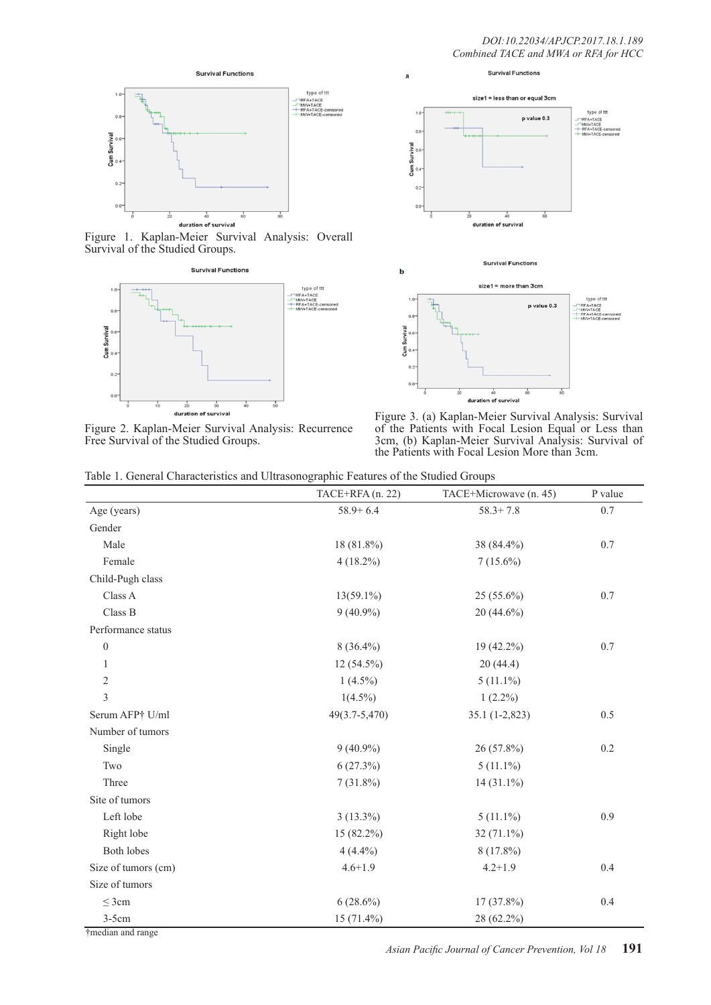

Figure 1. Kaplan-Meier Survival Analysis: Overall Survival of the Studied Groups.



Figure 2. Kaplan-Meier Survival Analysis: Recurrence Free Survival of the Studied Groups.



 $\mathbf b$  $size1 = more than 3cm$ p value 0.3 Cum Survival  $\overline{a}$  $\frac{1}{40}$  duration of survival

**Survival Functions** 

Figure 3. (a) Kaplan-Meier Survival Analysis: Survival of the Patients with Focal Lesion Equal or Less than 3cm, (b) Kaplan-Meier Survival Analysis: Survival of the Patients with Focal Lesion More than 3cm.

|  | Table 1. General Characteristics and Ultrasonographic Features of the Studied Groups |  |  |
|--|--------------------------------------------------------------------------------------|--|--|
|  |                                                                                      |  |  |

|                     | TACE+RFA (n. 22)  | TACE+Microwave (n. 45) | P value |
|---------------------|-------------------|------------------------|---------|
| Age (years)         | $58.9 + 6.4$      | $58.3 + 7.8$           | 0.7     |
| Gender              |                   |                        |         |
| Male                | 18 (81.8%)        | 38 (84.4%)             | 0.7     |
| Female              | $4(18.2\%)$       | $7(15.6\%)$            |         |
| Child-Pugh class    |                   |                        |         |
| Class A             | $13(59.1\%)$      | 25 (55.6%)             | 0.7     |
| Class B             | $9(40.9\%)$       | $20(44.6\%)$           |         |
| Performance status  |                   |                        |         |
| $\boldsymbol{0}$    | $8(36.4\%)$       | 19 (42.2%)             | 0.7     |
| 1                   | 12 (54.5%)        | 20(44.4)               |         |
| $\sqrt{2}$          | $1(4.5\%)$        | $5(11.1\%)$            |         |
| 3                   | $1(4.5\%)$        | $1(2.2\%)$             |         |
| Serum AFP† U/ml     | $49(3.7 - 5,470)$ | $35.1(1-2,823)$        | 0.5     |
| Number of tumors    |                   |                        |         |
| Single              | $9(40.9\%)$       | 26 (57.8%)             | 0.2     |
| Two                 | 6(27.3%)          | $5(11.1\%)$            |         |
| Three               | $7(31.8\%)$       | $14(31.1\%)$           |         |
| Site of tumors      |                   |                        |         |
| Left lobe           | $3(13.3\%)$       | $5(11.1\%)$            | 0.9     |
| Right lobe          | 15 (82.2%)        | $32(71.1\%)$           |         |
| <b>Both lobes</b>   | $4(4.4\%)$        | $8(17.8\%)$            |         |
| Size of tumors (cm) | $4.6 + 1.9$       | $4.2 + 1.9$            | 0.4     |
| Size of tumors      |                   |                        |         |
| $\leq$ 3cm          | $6(28.6\%)$       | 17 (37.8%)             | 0.4     |
| $3-5cm$             | 15 (71.4%)        | 28 (62.2%)             |         |

†median and range

*Asian Pacific Journal of Cancer Prevention, Vol 18* **191**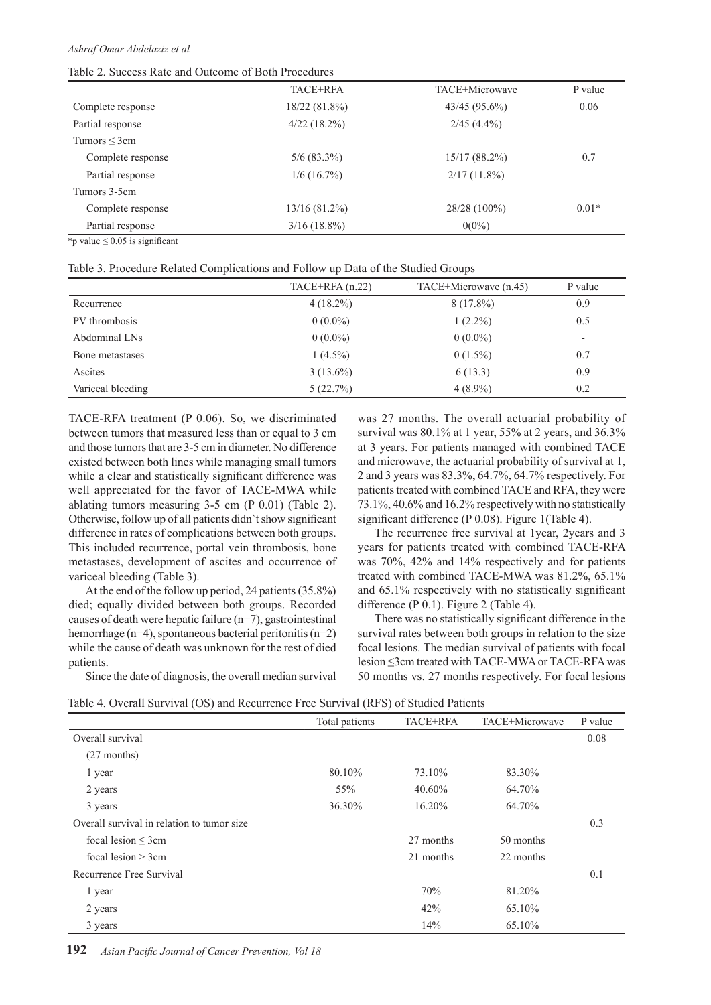|                   | TACE+RFA       | TACE+Microwave  | P value |
|-------------------|----------------|-----------------|---------|
| Complete response | 18/22 (81.8%)  | 43/45(95.6%)    | 0.06    |
| Partial response  | 4/22(18.2%)    | $2/45(4.4\%)$   |         |
| Tumors $\leq$ 3cm |                |                 |         |
| Complete response | $5/6$ (83.3%)  | $15/17(88.2\%)$ | 0.7     |
| Partial response  | $1/6$ (16.7%)  | $2/17(11.8\%)$  |         |
| Tumors 3-5cm      |                |                 |         |
| Complete response | 13/16 (81.2%)  | $28/28(100\%)$  | $0.01*$ |
| Partial response  | $3/16(18.8\%)$ | $0(0\%)$        |         |
|                   |                |                 |         |

\*p value  $\leq 0.05$  is significant

|  | Table 3. Procedure Related Complications and Follow up Data of the Studied Groups |
|--|-----------------------------------------------------------------------------------|
|  |                                                                                   |

|                   | TACE+RFA $(n.22)$ | TACE+Microwave (n.45) | P value                  |
|-------------------|-------------------|-----------------------|--------------------------|
| Recurrence        | $4(18.2\%)$       | $8(17.8\%)$           | 0.9                      |
| PV thrombosis     | $0(0.0\%)$        | $1(2.2\%)$            | 0.5                      |
| Abdominal LNs     | $0(0.0\%)$        | $0(0.0\%)$            | $\overline{\phantom{a}}$ |
| Bone metastases   | $1(4.5\%)$        | $0(1.5\%)$            | 0.7                      |
| Ascites           | $3(13.6\%)$       | 6(13.3)               | 0.9                      |
| Variceal bleeding | 5(22.7%)          | $4(8.9\%)$            | 0.2                      |

TACE-RFA treatment (P 0.06). So, we discriminated between tumors that measured less than or equal to 3 cm and those tumors that are 3-5 cm in diameter. No difference existed between both lines while managing small tumors while a clear and statistically significant difference was well appreciated for the favor of TACE-MWA while ablating tumors measuring 3-5 cm (P 0.01) (Table 2). Otherwise, follow up of all patients didn`t show significant difference in rates of complications between both groups. This included recurrence, portal vein thrombosis, bone metastases, development of ascites and occurrence of variceal bleeding (Table 3).

At the end of the follow up period, 24 patients (35.8%) died; equally divided between both groups. Recorded causes of death were hepatic failure (n=7), gastrointestinal hemorrhage (n=4), spontaneous bacterial peritonitis (n=2) while the cause of death was unknown for the rest of died patients.

Since the date of diagnosis, the overall median survival

was 27 months. The overall actuarial probability of survival was 80.1% at 1 year, 55% at 2 years, and 36.3% at 3 years. For patients managed with combined TACE and microwave, the actuarial probability of survival at 1, 2 and 3 years was 83.3%, 64.7%, 64.7% respectively. For patients treated with combined TACE and RFA, they were 73.1%, 40.6% and 16.2% respectively with no statistically significant difference (P 0.08). Figure 1(Table 4).

The recurrence free survival at 1year, 2years and 3 years for patients treated with combined TACE-RFA was 70%, 42% and 14% respectively and for patients treated with combined TACE-MWA was 81.2%, 65.1% and 65.1% respectively with no statistically significant difference (P 0.1). Figure 2 (Table 4).

There was no statistically significant difference in the survival rates between both groups in relation to the size focal lesions. The median survival of patients with focal lesion ≤3cm treated with TACE-MWA or TACE-RFA was 50 months vs. 27 months respectively. For focal lesions

| Table 4. Overall Survival (OS) and Recurrence Free Survival (RFS) of Studied Patients |
|---------------------------------------------------------------------------------------|
|---------------------------------------------------------------------------------------|

|                                            | Total patients | TACE+RFA  | TACE+Microwave | P value |
|--------------------------------------------|----------------|-----------|----------------|---------|
| Overall survival                           |                |           |                | 0.08    |
| $(27$ months)                              |                |           |                |         |
| 1 year                                     | 80.10%         | 73.10%    | 83.30%         |         |
| 2 years                                    | 55%            | 40.60%    | 64.70%         |         |
| 3 years                                    | 36.30%         | 16.20%    | 64.70%         |         |
| Overall survival in relation to tumor size |                |           |                | 0.3     |
| focal lesion $\leq$ 3cm                    |                | 27 months | 50 months      |         |
| focal lesion $>$ 3cm                       |                | 21 months | 22 months      |         |
| Recurrence Free Survival                   |                |           |                | 0.1     |
| 1 year                                     |                | 70%       | 81.20%         |         |
| 2 years                                    |                | 42%       | 65.10%         |         |
| 3 years                                    |                | 14%       | 65.10%         |         |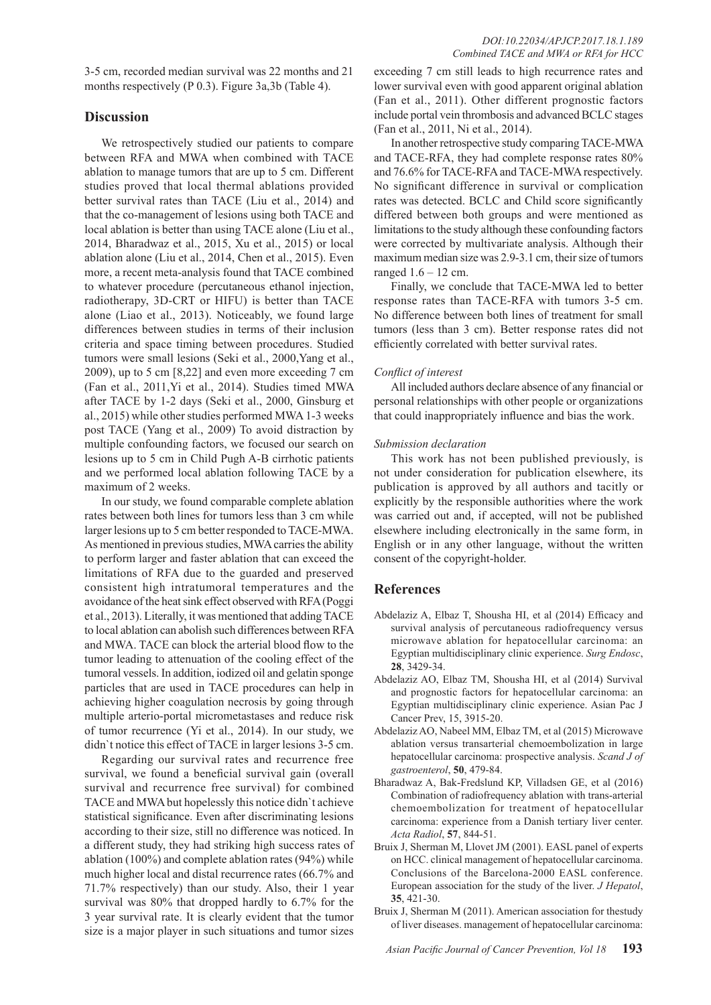3-5 cm, recorded median survival was 22 months and 21 months respectively (P 0.3). Figure 3a,3b (Table 4).

### **Discussion**

We retrospectively studied our patients to compare between RFA and MWA when combined with TACE ablation to manage tumors that are up to 5 cm. Different studies proved that local thermal ablations provided better survival rates than TACE (Liu et al., 2014) and that the co-management of lesions using both TACE and local ablation is better than using TACE alone (Liu et al., 2014, Bharadwaz et al., 2015, Xu et al., 2015) or local ablation alone (Liu et al., 2014, Chen et al., 2015). Even more, a recent meta-analysis found that TACE combined to whatever procedure (percutaneous ethanol injection, radiotherapy, 3D-CRT or HIFU) is better than TACE alone (Liao et al., 2013). Noticeably, we found large differences between studies in terms of their inclusion criteria and space timing between procedures. Studied tumors were small lesions (Seki et al., 2000,Yang et al., 2009), up to 5 cm [8,22] and even more exceeding 7 cm (Fan et al., 2011,Yi et al., 2014). Studies timed MWA after TACE by 1-2 days (Seki et al., 2000, Ginsburg et al., 2015) while other studies performed MWA 1-3 weeks post TACE (Yang et al., 2009) To avoid distraction by multiple confounding factors, we focused our search on lesions up to 5 cm in Child Pugh A-B cirrhotic patients and we performed local ablation following TACE by a maximum of 2 weeks.

In our study, we found comparable complete ablation rates between both lines for tumors less than 3 cm while larger lesions up to 5 cm better responded to TACE-MWA. As mentioned in previous studies, MWA carries the ability to perform larger and faster ablation that can exceed the limitations of RFA due to the guarded and preserved consistent high intratumoral temperatures and the avoidance of the heat sink effect observed with RFA (Poggi et al., 2013). Literally, it was mentioned that adding TACE to local ablation can abolish such differences between RFA and MWA. TACE can block the arterial blood flow to the tumor leading to attenuation of the cooling effect of the tumoral vessels. In addition, iodized oil and gelatin sponge particles that are used in TACE procedures can help in achieving higher coagulation necrosis by going through multiple arterio-portal micrometastases and reduce risk of tumor recurrence (Yi et al., 2014). In our study, we didn`t notice this effect of TACE in larger lesions 3-5 cm.

Regarding our survival rates and recurrence free survival, we found a beneficial survival gain (overall survival and recurrence free survival) for combined TACE and MWA but hopelessly this notice didn`t achieve statistical significance. Even after discriminating lesions according to their size, still no difference was noticed. In a different study, they had striking high success rates of ablation (100%) and complete ablation rates (94%) while much higher local and distal recurrence rates (66.7% and 71.7% respectively) than our study. Also, their 1 year survival was 80% that dropped hardly to 6.7% for the 3 year survival rate. It is clearly evident that the tumor size is a major player in such situations and tumor sizes

exceeding 7 cm still leads to high recurrence rates and lower survival even with good apparent original ablation (Fan et al., 2011). Other different prognostic factors include portal vein thrombosis and advanced BCLC stages (Fan et al., 2011, Ni et al., 2014).

In another retrospective study comparing TACE-MWA and TACE-RFA, they had complete response rates 80% and 76.6% for TACE-RFA and TACE-MWA respectively. No significant difference in survival or complication rates was detected. BCLC and Child score significantly differed between both groups and were mentioned as limitations to the study although these confounding factors were corrected by multivariate analysis. Although their maximum median size was 2.9-3.1 cm, their size of tumors ranged 1.6 – 12 cm.

Finally, we conclude that TACE-MWA led to better response rates than TACE-RFA with tumors 3-5 cm. No difference between both lines of treatment for small tumors (less than 3 cm). Better response rates did not efficiently correlated with better survival rates.

#### *Conflict of interest*

All included authors declare absence of any financial or personal relationships with other people or organizations that could inappropriately influence and bias the work.

#### *Submission declaration*

This work has not been published previously, is not under consideration for publication elsewhere, its publication is approved by all authors and tacitly or explicitly by the responsible authorities where the work was carried out and, if accepted, will not be published elsewhere including electronically in the same form, in English or in any other language, without the written consent of the copyright-holder.

## **References**

- Abdelaziz A, Elbaz T, Shousha HI, et al (2014) Efficacy and survival analysis of percutaneous radiofrequency versus microwave ablation for hepatocellular carcinoma: an Egyptian multidisciplinary clinic experience. *Surg Endosc*, **28**, 3429-34.
- Abdelaziz AO, Elbaz TM, Shousha HI, et al (2014) Survival and prognostic factors for hepatocellular carcinoma: an Egyptian multidisciplinary clinic experience. Asian Pac J Cancer Prev, 15, 3915-20.
- Abdelaziz AO, Nabeel MM, Elbaz TM, et al (2015) Microwave ablation versus transarterial chemoembolization in large hepatocellular carcinoma: prospective analysis. *Scand J of gastroenterol*, **50**, 479-84.
- Bharadwaz A, Bak-Fredslund KP, Villadsen GE, et al (2016) Combination of radiofrequency ablation with trans-arterial chemoembolization for treatment of hepatocellular carcinoma: experience from a Danish tertiary liver center. *Acta Radiol*, **57**, 844-51.
- Bruix J, Sherman M, Llovet JM (2001). EASL panel of experts on HCC. clinical management of hepatocellular carcinoma. Conclusions of the Barcelona-2000 EASL conference. European association for the study of the liver. *J Hepatol*, **35**, 421-30.
- Bruix J, Sherman M (2011). American association for thestudy of liver diseases. management of hepatocellular carcinoma: